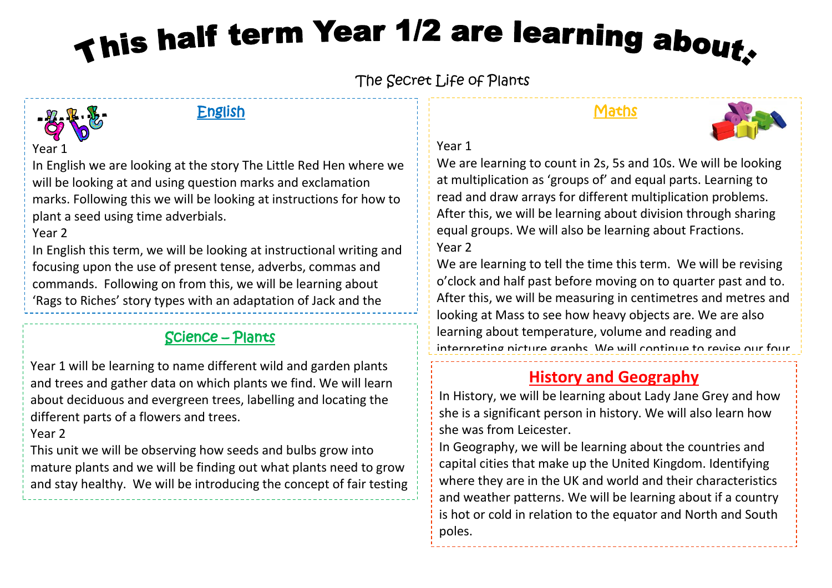# This half term Year 1/2 are learning about.

The Secret Life of Plants



#### English

#### Maths



### Year 1

We are learning to count in 2s, 5s and 10s. We will be looking at multiplication as 'groups of' and equal parts. Learning to read and draw arrays for different multiplication problems. After this, we will be learning about division through sharing equal groups. We will also be learning about Fractions. Year 2

We are learning to tell the time this term. We will be revising o'clock and half past before moving on to quarter past and to. After this, we will be measuring in centimetres and metres and looking at Mass to see how heavy objects are. We are also learning about temperature, volume and reading and interpreting picture graphs. We will continue to revise our four

#### operations during morning work.<br>2012 - John Sterling work and work. **History and Geography**

In History, we will be learning about Lady Jane Grey and how she is a significant person in history. We will also learn how she was from Leicester.

In Geography, we will be learning about the countries and capital cities that make up the United Kingdom. Identifying where they are in the UK and world and their characteristics and weather patterns. We will be learning about if a country is hot or cold in relation to the equator and North and South poles.

In English we are looking at the story The Little Red Hen where we will be looking at and using question marks and exclamation marks. Following this we will be looking at instructions for how to plant a seed using time adverbials.

#### Year 2

In English this term, we will be looking at instructional writing and focusing upon the use of present tense, adverbs, commas and commands. Following on from this, we will be learning about 'Rags to Riches' story types with an adaptation of Jack and the

## **Science – Plants** and suffixes and suffixes and suffixes and suffixes and suffixes and suffixes and suffixes.  $\overline{\text{S}}$ Beanstalk – our story is all about yummy jellybeans! We will focus

Year 1 will be learning to name different wild and garden plants and trees and gather data on which plants we find. We will learn about deciduous and evergreen trees, labelling and locating the different parts of a flowers and trees.

Year 2

This unit we will be observing how seeds and bulbs grow into mature plants and we will be finding out what plants need to grow and stay healthy. We will be introducing the concept of fair testing throughout our scientific investigation in the second contract of  $\mathcal{L}$